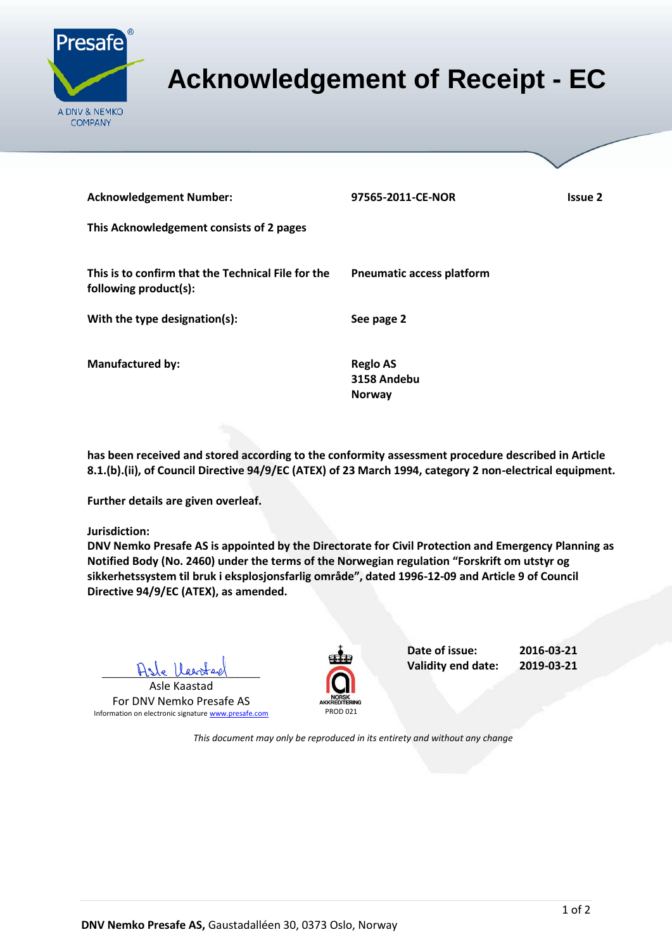

## <span id="page-0-0"></span>**Acknowledgement of Receipt - EC**

| <b>Acknowledgement Number:</b><br>This Acknowledgement consists of 2 pages  | 97565-2011-CE-NOR                               | Issue 2 |
|-----------------------------------------------------------------------------|-------------------------------------------------|---------|
| This is to confirm that the Technical File for the<br>following product(s): | <b>Pneumatic access platform</b>                |         |
| With the type designation(s):                                               | See page 2                                      |         |
| <b>Manufactured by:</b>                                                     | <b>Reglo AS</b><br>3158 Andebu<br><b>Norway</b> |         |

**has been received and stored according to the conformity assessment procedure described in Article 8.1.(b).(ii), of Council Directive 94/9/EC (ATEX) of 23 March 1994, category 2 non-electrical equipment.**

**Further details are given overleaf.**

**Jurisdiction:**

**DNV Nemko Presafe AS is appointed by the Directorate for Civil Protection and Emergency Planning as Notified Body (No. 2460) under the terms of the Norwegian regulation "Forskrift om utstyr og sikkerhetssystem til bruk i eksplosjonsfarlig område", dated 1996-12-09 and Article 9 of Council Directive 94/9/EC (ATEX), as amended.**

Asle Heart

Asle Kaastad For DNV Nemko Presafe AS Information on electronic signature [www.presafe.com](http://www.presafe.com/) PROD 021



**Date of issue: 2016-03-21 Validity end date: 2019-03-21**

*This document may only be reproduced in its entirety and without any change*